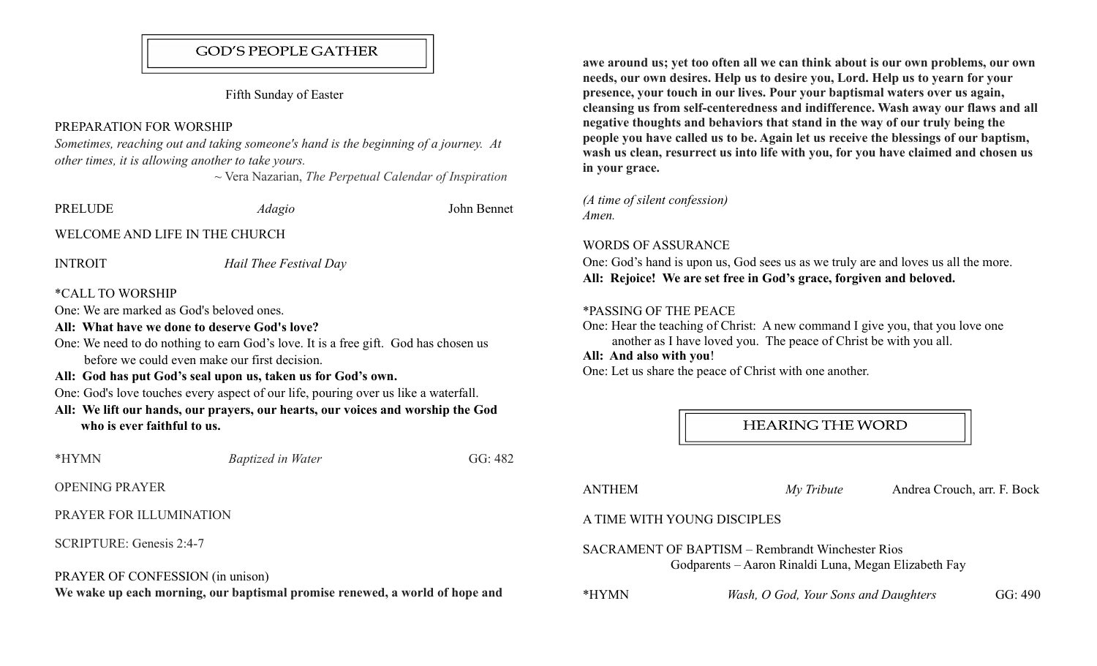## **GOD'S PEOPLE GATHER**

Fifth Sunday of Easter

# PREPARATION FOR WORSHIP

Sometimes, reaching out and taking someone's hand is the beginning of a journey. At other times, it is allowing another to take yours.

 $\sim$  Vera Nazarian, The Perpetual Calendar of Inspiration

| <b>PRELUDE</b>                                                                                                                                                                                                                                                                                                                                                                                                                                                                                                                                | <i>Adagio</i>            | John Bennet |  |  |
|-----------------------------------------------------------------------------------------------------------------------------------------------------------------------------------------------------------------------------------------------------------------------------------------------------------------------------------------------------------------------------------------------------------------------------------------------------------------------------------------------------------------------------------------------|--------------------------|-------------|--|--|
| WELCOME AND LIFE IN THE CHURCH                                                                                                                                                                                                                                                                                                                                                                                                                                                                                                                |                          |             |  |  |
| <b>INTROIT</b>                                                                                                                                                                                                                                                                                                                                                                                                                                                                                                                                | Hail Thee Festival Day   |             |  |  |
| <i><b>*CALL TO WORSHIP</b></i><br>One: We are marked as God's beloved ones.<br>All: What have we done to deserve God's love?<br>One: We need to do nothing to earn God's love. It is a free gift. God has chosen us<br>before we could even make our first decision.<br>All: God has put God's seal upon us, taken us for God's own.<br>One: God's love touches every aspect of our life, pouring over us like a waterfall.<br>All: We lift our hands, our prayers, our hearts, our voices and worship the God<br>who is ever faithful to us. |                          |             |  |  |
| *HYMN                                                                                                                                                                                                                                                                                                                                                                                                                                                                                                                                         | <b>Baptized in Water</b> | GG: 482     |  |  |
| <b>OPENING PRAYER</b>                                                                                                                                                                                                                                                                                                                                                                                                                                                                                                                         |                          |             |  |  |
| PRAYER FOR ILLUMINATION                                                                                                                                                                                                                                                                                                                                                                                                                                                                                                                       |                          |             |  |  |
| SCRIPTURE: Genesis 2:4-7                                                                                                                                                                                                                                                                                                                                                                                                                                                                                                                      |                          |             |  |  |
| PRAYER OF CONFESSION (in unison)<br>We wake up each morning, our baptismal promise renewed, a world of hope and                                                                                                                                                                                                                                                                                                                                                                                                                               |                          |             |  |  |

awe around us; yet too often all we can think about is our own problems, our own needs, our own desires. Help us to desire you, Lord. Help us to yearn for your presence, your touch in our lives. Pour your baptismal waters over us again, cleansing us from self-centeredness and indifference. Wash away our flaws and all negative thoughts and behaviors that stand in the way of our truly being the people you have called us to be. Again let us receive the blessings of our baptism, wash us clean, resurrect us into life with you, for you have claimed and chosen us in your grace.

(A time of silent confession) Amen.

### WORDS OF ASSURANCE

One: God's hand is upon us, God sees us as we truly are and loves us all the more. All: Rejoice! We are set free in God's grace, forgiven and beloved.

### \*PASSING OF THE PEACE

One: Hear the teaching of Christ: A new command I give you, that you love one another as I have loved you. The peace of Christ be with you all.

# All: And also with you!

One: Let us share the peace of Christ with one another.

**HEARING THE WORD** 

ANTHEM My Tribute Andrea Crouch, arr. F. Bock

### A TIME WITH YOUNG DISCIPLES

SACRAMENT OF BAPTISM – Rembrandt Winchester Rios Godparents – Aaron Rinaldi Luna, Megan Elizabeth Fay

\*HYMN Wash, O God, Your Sons and Daughters GG: 490